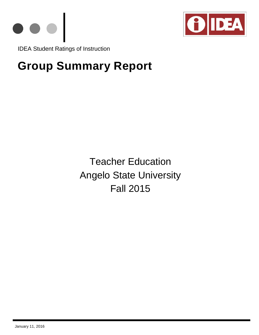



IDEA Student Ratings of Instruction

# **Group Summary Report**

Teacher Education Angelo State University Fall 2015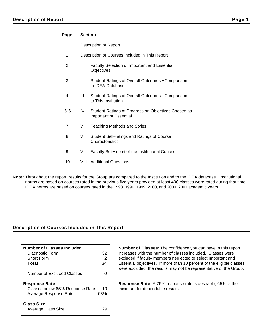## **Page Section**

- 1 Description of Report
- 1 Description of Courses Included in This Report
- 2 I: Faculty Selection of Important and Essential **Objectives**
- 3 II: Student Ratings of Overall Outcomes − Comparison to IDEA Database
- 4 III: Student Ratings of Overall Outcomes − Comparison to This Institution
- 5−6 IV: Student Ratings of Progress on Objectives Chosen as Important or Essential
- 7 V: Teaching Methods and Styles
- 8 VI: Student Self−ratings and Ratings of Course **Characteristics**
- 9 VII: Faculty Self–report of the Institutional Context
- 10 VIII: Additional Questions
- **Note:** Throughout the report, results for the Group are compared to the Institution and to the IDEA database. Institutional norms are based on courses rated in the previous five years provided at least 400 classes were rated during that time. IDEA norms are based on courses rated in the 1998−1999, 1999−2000, and 2000−2001 academic years.

## **Description of Courses Included in This Report**

| <b>Number of Classes Included</b>              |     |
|------------------------------------------------|-----|
| Diagnostic Form                                | 32  |
| Short Form                                     | 2   |
| Total                                          | 34  |
| Number of Excluded Classes                     | O   |
| <b>Response Rate</b>                           |     |
| Classes below 65% Response Rate                | 19  |
| Average Response Rate                          | 63% |
| <b>Class Size</b><br><b>Average Class Size</b> |     |

**Number of Classes**: The confidence you can have in this report increases with the number of classes included. Classes were excluded if faculty members neglected to select Important and Essential objectives. If more than 10 percent of the eligible classes were excluded, the results may not be representative of the Group.

**Response Rate**: A 75% response rate is desirable; 65% is the minimum for dependable results.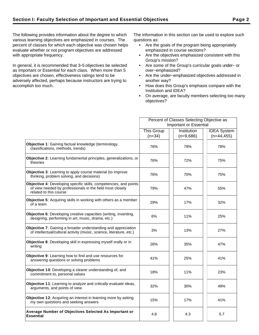The following provides information about the degree to which various learning objectives are emphasized in courses. The percent of classes for which each objective was chosen helps evaluate whether or not program objectives are addressed with appropriate frequency.

In general, it is recommended that 3−5 objectives be selected as Important or Essential for each class. When more than 5 objectives are chosen, effectiveness ratings tend to be adversely affected, perhaps because instructors are trying to accomplish too much.

The information in this section can be used to explore such questions as:

- Are the goals of the program being appropriately emphasized in course sections?
- Are the objectives emphasized consistent with this Group's mission?
- Are some of the Group's curricular goals under− or over−emphasized?
- Are the under−emphasized objectives addressed in another way?
- How does this Group's emphasis compare with the Institution and IDEA?
- On average, are faculty members selecting too many objectives?

|                                                                                                                                                          | Percent of Classes Selecting Objective as |             |                    |  |  |
|----------------------------------------------------------------------------------------------------------------------------------------------------------|-------------------------------------------|-------------|--------------------|--|--|
|                                                                                                                                                          | <b>Important or Essential</b>             |             |                    |  |  |
|                                                                                                                                                          | <b>This Group</b>                         | Institution | <b>IDEA</b> System |  |  |
|                                                                                                                                                          | $(n=34)$                                  | $(n=9,686)$ | $(n=44, 455)$      |  |  |
| Objective 1: Gaining factual knowledge (terminology,<br>classifications, methods, trends)                                                                | 76%                                       | 79%         | 78%                |  |  |
| Objective 2: Learning fundamental principles, generalizations, or<br>theories                                                                            | 76%                                       | 72%         | 75%                |  |  |
| <b>Objective 3:</b> Learning to apply course material (to improve<br>thinking, problem solving, and decisions)                                           | 76%                                       | 70%         | 75%                |  |  |
| Objective 4: Developing specific skills, competencies, and points<br>of view needed by professionals in the field most closely<br>related to this course | 79%                                       | 47%         | 55%                |  |  |
| <b>Objective 5:</b> Acquiring skills in working with others as a member<br>of a team                                                                     | 29%                                       | 17%         | 32%                |  |  |
| Objective 6: Developing creative capacities (writing, inventing,<br>designing, performing in art, music, drama, etc.)                                    | 6%                                        | 11%         | 25%                |  |  |
| <b>Objective 7:</b> Gaining a broader understanding and appreciation<br>of intellectual/cultural activity (music, science, literature, etc.)             | 3%                                        | 13%         | 27%                |  |  |
| Objective 8: Developing skill in expressing myself orally or in<br>writing                                                                               | 26%                                       | 35%         | 47%                |  |  |
| Objective 9: Learning how to find and use resources for<br>answering questions or solving problems                                                       | 41%                                       | 25%         | 41%                |  |  |
| Objective 10: Developing a clearer understanding of, and<br>commitment to, personal values                                                               | 18%                                       | 11%         | 23%                |  |  |
| <b>Objective 11:</b> Learning to analyze and critically evaluate ideas,<br>arguments, and points of view                                                 | 32%                                       | 30%         | 49%                |  |  |
| Objective 12: Acquiring an interest in learning more by asking<br>my own questions and seeking answers                                                   | 15%                                       | 17%         | 41%                |  |  |
| Average Number of Objectives Selected As Important or<br><b>Essential</b>                                                                                | 4.8                                       | 4.3         | 5.7                |  |  |
|                                                                                                                                                          |                                           |             |                    |  |  |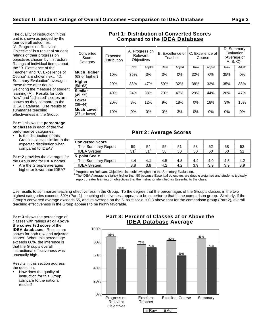The quality of instruction in this unit is shown as judged by the four overall outcomes. "A. Progress on Relevant Objectives" is a result of student ratings of their progress on objectives chosen by instructors. Ratings of individual items about the "B. Excellence of the Teacher" and "C. Excellence of Course" are shown next. "D. Summary Evaluation" averages these three after double weighting the measure of student learning (A). Results for both "raw" and "adjusted" scores are shown as they compare to the IDEA Database. Use results to

**Part 1** shows the **percentage of classes** in each of the five

performance categories.

summarize teaching effectiveness in the Group.

Is the distribution of this Group's classes similar to the expected distribution when compared to IDEA?

**Part 2** provides the averages for the Group and for IDEA norms.

Are the Group's averages higher or lower than IDEA?

# **Part 1: Distribution of Converted Scores Compared to the IDEA Database**

| Converted<br>Score<br>Category       | Expected<br><b>Distribution</b> | A. Progress on<br>Relevant<br><b>Objectives</b> |        | B. Excellence of IIC. Excellence of<br>Teacher |        | Course |        | D. Summary<br>Evaluation<br>(Average of<br>$A, B, C$ <sup>1</sup> |        |
|--------------------------------------|---------------------------------|-------------------------------------------------|--------|------------------------------------------------|--------|--------|--------|-------------------------------------------------------------------|--------|
|                                      |                                 | Raw                                             | Adjstd | Raw                                            | Adjstd | Raw    | Adjstd | Raw                                                               | Adjstd |
| <b>Much Higher</b><br>(63 or higher) | 10%                             | 35%                                             | 3%     | 3%                                             | $0\%$  | 32%    | 6%     | 35%                                                               | 0%     |
| Higher<br>$(56 - 62)$                | 20%                             | 38%                                             | 47%    | 59%                                            | 32%    | 38%    | 32%    | 35%                                                               | 38%    |
| <b>Similar</b><br>$(45 - 55)$        | 40%                             | 24%                                             | 38%    | 29%                                            | 47%    | 29%    | 44%    | 26%                                                               | 47%    |
| Lower<br>$(38 - 44)$                 | 20%                             | 3%                                              | 12%    | 9%                                             | 18%    | 0%     | 18%    | 3%                                                                | 15%    |
| <b>Much Lower</b><br>(37 or lower)   | 10%                             | 0%                                              | $0\%$  | 0%                                             | 3%     | $0\%$  | 0%     | 0%                                                                | 0%     |
|                                      |                                 |                                                 |        |                                                |        |        |        |                                                                   |        |

# **Part 2: Average Scores**

| <b>Converted Score</b> |                 |                 |     |     |     |     |     |     |
|------------------------|-----------------|-----------------|-----|-----|-----|-----|-----|-----|
| This Summary Report    | 59              | 54              | 55  | 51  | 58  | 52  | 58  | 53  |
| <b>IDEA System</b>     | 51 <sup>2</sup> | 51 <sup>2</sup> | 50  | 50  | 50  | 50  | 50  |     |
| 5-point Scale          |                 |                 |     |     |     |     |     |     |
| This Summary Report    | 4.4             | 4.1             | 4.5 | 4.3 | 4.4 | 4.0 | 4.5 | 4.2 |
| <b>IDEA System</b>     | 3.8             | 3.8             | 4.2 | 4.2 | 3.9 | 3.9 | 3.9 | 3.9 |

 $1$ Progress on Relevant Objectives is double weighted in the Summary Evaluation.

 $^2$  The IDEA Average is slightly higher than 50 because Essential objectives are double weighted and students typically report greater learning on objectives that the instructor identified as Essential to the class.

Use results to summarize teaching effectiveness in the Group. To the degree that the percentages of the Group's classes in the two highest categories exceeds 30% (Part 1), teaching effectiveness appears to be superior to that in the comparison group. Similarly, if the Group's converted average exceeds 55, and its average on the 5−point scale is 0.3 above that for the comparison group (Part 2), overall teaching effectiveness in the Group appears to be highly favorable.

**Part 3** shows the percentage of classes with ratings **at or above the converted score** of the **IDEA databases**. Results are shown for both raw and adjusted scores. When this percentage exceeds 60%, the inference is that the Group's overall instructional effectiveness was unusually high.

Results in this section address the question:

How does the quality of instruction for this Group compare to the national results?

# **Part 3: Percent of Classes at or Above the IDEA Database Average**

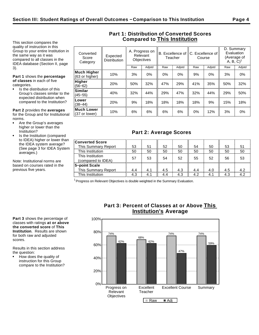This section compares the quality of instruction in this Group to your entire Institution in the same way as it was compared to all classes in the IDEA database (Section II, page 3).

**Part 1** shows the **percentage of classes** in each of five categories.

Is the distribution of this Group's classes similar to the expected distribution when compared to the Institution?

**Similar**<br>(45–55)

**Lower**<br>(38–44)

**Much Lower**

**Part 2** provides the **averages** for the Group and for Institutional norms.

- Are the Group's averages higher or lower than the Institution?
- Is the Institution (compared to IDEA) higher or lower than the IDEA system average? (See page 3 for IDEA System averages.)

Note: Institutional norms are based on courses rated in the previous five years.

| Converted<br>Score<br>Category       | Expected<br><b>Distribution</b> |     | A. Progress on<br>Relevant<br><b>Objectives</b> |     | B. Excellence of   C. Excellence of<br>Teacher |     | Course | D. Summary<br>Evaluation<br>(Average of<br>A, B, C) |        |
|--------------------------------------|---------------------------------|-----|-------------------------------------------------|-----|------------------------------------------------|-----|--------|-----------------------------------------------------|--------|
|                                      |                                 | Raw | Adjstd                                          | Raw | Adjstd                                         | Raw | Adjstd | Raw                                                 | Adjstd |
| <b>Much Higher</b><br>(63 or higher) | 10%                             | 3%  | 0%                                              | 0%  | 0%                                             | 9%  | 0%     | 3%                                                  | $0\%$  |
| <b>Higher</b><br>$(56 - 62)$         | 20%                             | 50% | 32%                                             | 47% | 29%                                            | 41% | 35%    | 50%                                                 | 32%    |

(45−55) 40% 32% 44% 29% 47% 32% 44% 29% 50%

(38−44) 20% 9% 18% 18% 18% 18% 9% 15% 18%

**Muchi Lower**  $\begin{array}{||c|c|c|c|c|c|} \hline \end{array}$  10%  $\begin{array}{||c|c|c|c|c|} \hline \end{array}$  6%  $\begin{array}{||c|c|c|c|c|} \hline \end{array}$  6%  $\begin{array}{||c|c|c|c|} \hline \end{array}$  6%  $\begin{array}{||c|c|c|c|} \hline \end{array}$  6%  $\begin{array}{||c|c|c|c|} \hline \end{array}$  6%  $\begin{array}{||c|c|c|c|} \hline \end{array}$ 

# **Part 1: Distribution of Converted Scores Compared to This Institution**

|  | <b>Part 2: Average Scores</b> |  |
|--|-------------------------------|--|
|--|-------------------------------|--|

| <b>Converted Score</b>                 |     |     |     |     |     |     |     |     |
|----------------------------------------|-----|-----|-----|-----|-----|-----|-----|-----|
| This Summary Report                    | 53  | 51  | 52  | 50  | 54  | 50  | 53  | 51  |
| This Institution                       | 50  | 50  | 50  | 50  | 50  | 50  | 50  | 50  |
| This Institution<br>(compared to IDEA) | 57  | 53  | 54  | 52  | 55  | 52  | 56  | 53  |
| 5-point Scale                          |     |     |     |     |     |     |     |     |
| <b>This Summary Report</b>             | 4.4 | 4.1 | 4.5 | 4.3 | 4.4 | 4.0 | 4.5 | 4.2 |
| This Institution                       | 4.3 | 4.1 | 4.4 | 4.3 | 4.2 | 4.1 | 4.3 | 4.2 |

 $1$  Progress on Relevant Objectives is double weighted in the Summary Evaluation.

**Part 3** shows the percentage of classes with ratings **at or above the converted score** of **This Institution**. Results are shown for both raw and adjusted scores.

Results in this section address the question:

How does the quality of instruction for this Group compare to the Institution?

# **Part 3: Percent of Classes at or Above This Institution's Average**

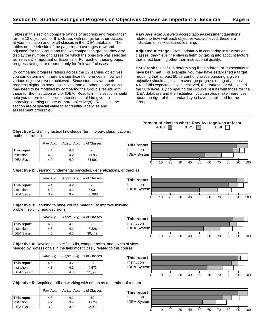Tables in this section compare ratings of progress and "relevance" for the 12 objectives for this Group, with ratings for other classes at your institution and for all classes in the IDEA database. The tables on the left side of the page report averages (raw and adjusted) for the Group and the two comparison groups; they also display the number of classes for which the objective was selected as "relevant" (Important or Essential). For each of these groups, progress ratings are reported only for "relevant" classes.

By comparing progress ratings across the 12 learning objectives, you can determine if there are significant differences in how well various objectives were achieved. Since students rate their progress higher on some objectives than on others, conclusions may need to be modified by comparing the Group's results with those for the Institution and/or IDEA. Results in this section should help you determine if special attention should be given to improving learning on one or more objective(s). Results in the section are of special value to accrediting agencies and assessment programs.

**Raw Average**: Answers accreditation/assessment questions related to how well each objective was achieved; these are indicators of self−assessed learning.

**Adjusted Average**: Useful primarily in comparing instructors or classes; they "level the playing field" by taking into account factors that affect learning other than instructional quality.

**Bar Graphs**: Useful in determining if "standards" or "expectations" have been met. For example, you may have established a target requiring that at least 50 percent of classes pursuing a given objective should achieve an average progress rating of at least 4.0. If this expectation was achieved, the darkest bar will exceed the 50% level. By comparing the Group's results with those for the IDEA database and the Institution, you can also make inferences about the rigor of the standards you have established for the Group.

**Objective 1**: Gaining factual knowledge (terminology, classifications, methods, trends)

|                    | Raw Avg. | Adjstd. Avg. | # of Classes |
|--------------------|----------|--------------|--------------|
| This report        | 4.4      | 4.2          | 26           |
| Institution        | 4.3      | 4.2          | 7,695        |
| <b>IDEA System</b> | 4.0      | 4.0          | 31,991       |

**Objective 2**: Learning fundamental principles, generalizations, or theories

|                    | Raw Avg. | Adjstd. Avg. | # of Classes |
|--------------------|----------|--------------|--------------|
| This report        | 44       | 4.2          | 26           |
| Institution        | 4.3      | 4.1          | 6,931        |
| <b>IDEA System</b> | 3.9      | 3.9          | 30,398       |

**Objective 3**: Learning to apply course material (to improve thinking, problem solving, and decisions)

|                    | Raw Avg. | Adjstd. Avg. | # of Classes |
|--------------------|----------|--------------|--------------|
| This report        | 4.5      | 4.1          | 26           |
| Institution        | 4.3      | 4.1          | 6,828        |
| <b>IDEA System</b> | 4.0      | 4.0          | 30.442       |

**Objective 4**: Developing specific skills, competencies, and points of view needed by professionals in the field most closely related to this course

|                    | Raw Avg. | Adjstd. Avg. | # of Classes |
|--------------------|----------|--------------|--------------|
| This report        | 4.5      | 4.2          | 27           |
| Institution        | 4.3      | 4.1          | 4.573        |
| <b>IDEA System</b> | 4.0      | 4.0          | 21,568       |



**Objective 5**: Acquiring skills in working with others as a member of a team

|                    | Raw Avg. | Adjstd. Avg. | # of Classes |
|--------------------|----------|--------------|--------------|
| This report        | 4.5      | 4.1          | 10           |
| Institution        | 4.2      | 3.9          | 1.624        |
| <b>IDEA</b> System | 3.9      | 3.9          | 12,088       |



**Percent of classes where Raw Average was at least: 4.00 3.75 3.50** 





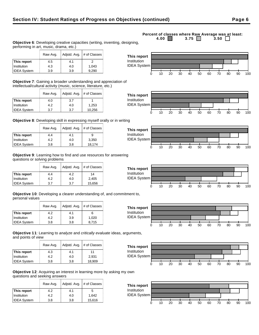## Raw Avg.  $\vert$  Adjstd. Avg.  $\vert \#$  of Classes **This report**  $\begin{array}{ccc} | & 4.5 & | & 4.1 & | & 2 \end{array}$ Institution 1.043 4.3 4.0 1,043

**Objective 7**: Gaining a broader understanding and appreciation of intellectual/cultural activity (music, science, literature, etc.)

|                    | Raw Avg. | Adistd. Avg. | # of Classes |
|--------------------|----------|--------------|--------------|
| This report        | 4.0      | 3.7          |              |
| Institution        | 4.2      | 4.0          | 1,253        |
| <b>IDEA System</b> | 3.7      | 3.7          | 10,256       |

IDEA System 3.9 3.9 9,290

performing in art, music, drama, etc.)

**Objective 8**: Developing skill in expressing myself orally or in writing

|                    | Raw Avg. | Adjstd. Avg. | # of Classes |
|--------------------|----------|--------------|--------------|
| This report        | 4.4      | 4.1          | 9            |
| Institution        | 4.2      | 4.0          | 3,350        |
| <b>IDEA System</b> | 3.8      | 3.8          | 18,174       |

**Objective 9**: Learning how to find and use resources for answering questions or solving problems

|                    | Raw Avg. | Adjstd. Avg. | # of Classes |
|--------------------|----------|--------------|--------------|
| This report        | 4.4      | 4.2          | 14           |
| Institution        | 4.2      | 4.0          | 2,405        |
| <b>IDEA System</b> | 3.7      | 3.7          | 15,656       |

**Objective 10**: Developing a clearer understanding of, and commitment to, personal values

|                    | Raw Avg. | Adjstd. Avg. | # of Classes |
|--------------------|----------|--------------|--------------|
| This report        | 4.2      | 4.1          | 6            |
| Institution        | 4.2      | 3.9          | 1.020        |
| <b>IDEA System</b> | 3.8      | 3.8          | 8,715        |

**Objective 11**: Learning to analyze and critically evaluate ideas, arguments, and points of view

|                    | Raw Avg. | Adjstd. Avg. | # of Classes |
|--------------------|----------|--------------|--------------|
| This report        | 4.3      | 4.1          | 11           |
| Institution        | 4.2      | 4.0          | 2.931        |
| <b>IDEA System</b> | 3.8      | 3.8          | 18,909       |

**Objective 12**: Acquiring an interest in learning more by asking my own questions and seeking answers

|                    | Raw Avg. | Adjstd. Avg. | # of Classes |
|--------------------|----------|--------------|--------------|
| This report        | 4.2      | 4.1          | 5            |
| Institution        | 4.2      | 4.0          | 1.642        |
| <b>IDEA System</b> | 3.8      | 3.8          | 15,616       |

#### **Percent of classes where Raw Average was at least:**<br>4.00 3.75 3.50 3.50 3.75  $\Box$ **Objective 6**: Developing creative capacities (writing, inventing, designing,















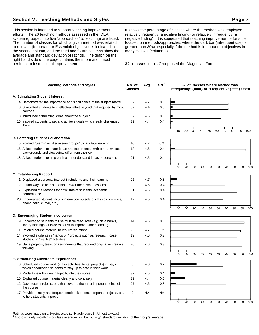# **Section V: Teaching Methods and Styles Page 7**

This section is intended to support teaching improvement efforts. The 20 teaching methods assessed in the IDEA system (grouped into five "approaches" to teaching) are listed. The number of classes for which a given method was related to relevant (Important or Essential) objectives is indicated in the second column, and the third and fourth columns show the average and standard deviation of ratings. The graph on the right hand side of the page contains the information most pertinent to instructional improvement.

It shows the percentage of classes where the method was employed relatively frequently (a positive finding) or relatively infrequently (a negative finding). It is suggested that teaching improvement efforts be focused on methods/approaches where the dark bar (infrequent use) is greater than 30%, especially if the method is important to objectives in many classes (column 2).

**32 classes** in this Group used the Diagnostic Form.

| <b>Teaching Methods and Styles</b>                                                                                                 | No. of<br><b>Classes</b> | Avg.       | s.d. <sup>1</sup> |   |    |    |    |    |    |    |    | % of Classes Where Method was<br>"Infrequently" ( $\equiv$ ) or "Frequently" ( $\equiv$ ) Used |    |     |
|------------------------------------------------------------------------------------------------------------------------------------|--------------------------|------------|-------------------|---|----|----|----|----|----|----|----|------------------------------------------------------------------------------------------------|----|-----|
| A. Stimulating Student Interest                                                                                                    |                          |            |                   |   |    |    |    |    |    |    |    |                                                                                                |    |     |
| 4. Demonstrated the importance and significance of the subject matter                                                              | 32                       | 4.7        | 0.3               |   |    |    |    |    |    |    |    |                                                                                                |    |     |
| 8. Stimulated students to intellectual effort beyond that required by most<br>courses                                              | 32                       | 4.4        | 0.3               |   |    |    |    |    |    |    |    |                                                                                                |    |     |
| 13. Introduced stimulating ideas about the subject                                                                                 | 32                       | 4.5        | 0.3               |   |    |    |    |    |    |    |    |                                                                                                |    |     |
| 15. Inspired students to set and achieve goals which really challenged<br>them                                                     | 32                       | 4.4        | 0.4               | 0 | 10 | 20 | 30 | 40 | 50 | 60 | 70 | 80                                                                                             | 90 | 100 |
| <b>B. Fostering Student Collaboration</b>                                                                                          |                          |            |                   |   |    |    |    |    |    |    |    |                                                                                                |    |     |
| 5. Formed "teams" or "discussion groups" to facilitate learning                                                                    |                          |            | 0.2               |   |    |    |    |    |    |    |    |                                                                                                |    |     |
| 16. Asked students to share ideas and experiences with others whose<br>backgrounds and viewpoints differ from their own            | 10<br>18                 | 4.7<br>4.6 | 0.4               |   |    |    |    |    |    |    |    |                                                                                                |    |     |
| 18. Asked students to help each other understand ideas or concepts                                                                 | 21                       | 4.5        | 0.4               |   |    |    |    |    |    |    |    |                                                                                                |    |     |
|                                                                                                                                    |                          |            |                   | 0 | 10 | 20 | 30 | 40 | 50 | 60 | 70 | 80                                                                                             | 90 | 100 |
| <b>C. Establishing Rapport</b>                                                                                                     |                          |            |                   |   |    |    |    |    |    |    |    |                                                                                                |    |     |
| 1. Displayed a personal interest in students and their learning                                                                    | 25                       | 4.7        | 0.3               |   |    |    |    |    |    |    |    |                                                                                                |    |     |
| 2. Found ways to help students answer their own questions                                                                          | 32                       | 4.5        | 0.4               |   |    |    |    |    |    |    |    |                                                                                                |    |     |
| 7. Explained the reasons for criticisms of students' academic<br>performance                                                       | 31                       | 4.5        | 0.4               |   |    |    |    |    |    |    |    |                                                                                                |    |     |
| 20. Encouraged student-faculty interaction outside of class (office visits,<br>phone calls, e-mail, etc.)                          | 12                       | 4.5        | 0.4               |   |    |    |    |    |    |    |    |                                                                                                |    |     |
|                                                                                                                                    |                          |            |                   | 0 | 10 | 20 | 30 | 40 | 50 | 60 | 70 | 80                                                                                             | 90 | 100 |
| D. Encouraging Student Involvement                                                                                                 |                          |            |                   |   |    |    |    |    |    |    |    |                                                                                                |    |     |
| 9. Encouraged students to use multiple resources (e.g. data banks,<br>library holdings, outside experts) to improve understanding  | 14                       | 4.6        | 0.3               |   |    |    |    |    |    |    |    |                                                                                                |    |     |
| 11. Related course material to real life situations                                                                                | 26                       | 4.7        | 0.2               |   |    |    |    |    |    |    |    |                                                                                                |    |     |
| 14. Involved students in "hands on" projects such as research, case<br>studies, or "real life" activities                          | 19                       | 4.6        | 0.3               |   |    |    |    |    |    |    |    |                                                                                                |    |     |
| 19. Gave projects, tests, or assignments that required original or creative<br>thinking                                            | 20                       | 4.6        | 0.3               |   |    |    |    |    |    |    |    |                                                                                                |    |     |
|                                                                                                                                    |                          |            |                   | 0 | 10 | 20 | 30 | 40 | 50 | 60 | 70 | 80                                                                                             | 90 | 100 |
| <b>E. Structuring Classroom Experiences</b>                                                                                        |                          |            |                   |   |    |    |    |    |    |    |    |                                                                                                |    |     |
| 3. Scheduled course work (class activities, tests, projects) in ways<br>which encouraged students to stay up to date in their work | 3                        | 4.3        | 0.7               |   |    |    |    |    |    |    |    |                                                                                                |    |     |
| 6. Made it clear how each topic fit into the course                                                                                | 32                       | 4.5        | 0.4               |   |    |    |    |    |    |    |    |                                                                                                |    |     |
| 10. Explained course material clearly and concisely                                                                                | 32                       | 4.4        | 0.5               |   |    |    |    |    |    |    |    |                                                                                                |    |     |
| 12. Gave tests, projects, etc. that covered the most important points of<br>the course                                             | 27                       | 4.6        | 0.3               |   |    |    |    |    |    |    |    |                                                                                                |    |     |
| 17. Provided timely and frequent feedback on tests, reports, projects, etc.<br>to help students improve                            | 0                        | <b>NA</b>  | <b>NA</b>         |   |    |    |    |    |    |    |    |                                                                                                |    |     |
|                                                                                                                                    |                          |            |                   | 0 | 10 | 20 | 30 | 40 | 50 | 60 | 70 | 80                                                                                             | 90 | 100 |

Ratings were made on a 5−point scale (1=Hardly ever, 5=Almost always)

<sup>1</sup>Approximately two−thirds of class averages will be within 1 standard deviation of the group's average.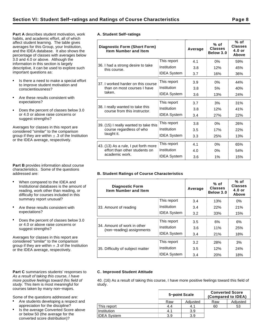**Part A** describes student motivation, work habits, and academic effort, all of which affect student learning. The table gives averages for this Group, your Institution, and the IDEA database. It also shows the percentage of classes with averages below 3.0 and 4.0 or above. Although the information in this section is largely descriptive, it can be used to explore such important questions as:

- Is there a need to make a special effort to improve student motivation and conscientiousness?
- Are these results consistent with expectations?
- Does the percent of classes below 3.0  $\bullet$ or 4.0 or above raise concerns or suggest strengths?

Averages for classes in this report are considered "similar" to the comparison group if they are within  $\pm$  .3 of the Institution or the IDEA average, respectively.

**Part B** provides information about course characteristics. Some of the questions addressed are:

- When compared to the IDEA and Institutional databases is the amount of reading, work other than reading, or difficulty for courses included in this summary report unusual?
- Are these results consistent with expectations?
- Does the percent of classes below 3.0 or 4.0 or above raise concerns or suggest strengths?

Averages for classes in this report are considered "similar" to the comparison group if they are within  $\pm$  .3 of the Institution or the IDEA average, respectively.

#### Part C summarizes students' responses to As a result of taking this course, I have more positive feelings toward this field of study. This item is most meaningful for courses taken by many non−majors.

Some of the questions addressed are:

- Are students developing a respect and appreciation for the discipline?
- Is the average Converted Score above or below 50 (the average for the converted score distribution)?

|  | A. Student Self-ratings |
|--|-------------------------|

| <b>Diagnostic Form (Short Form)</b><br><b>Item Number and Item</b> |                    | Average | $%$ of<br><b>Classes</b><br>Below 3.0 | % of<br><b>Classes</b><br>$4.0$ or<br>Above |
|--------------------------------------------------------------------|--------------------|---------|---------------------------------------|---------------------------------------------|
|                                                                    | This report        | 4.1     | $0\%$                                 | 59%                                         |
| 36. I had a strong desire to take<br>this course.                  | Institution        | 3.8     | 12%                                   | 45%                                         |
|                                                                    | <b>IDEA System</b> | 3.7     | 16%                                   | 36%                                         |
| 37. I worked harder on this course                                 | This report        | 3.9     | $0\%$                                 | 44%                                         |
| than on most courses I have                                        | Institution        | 3.8     | 5%                                    | 40%                                         |
| taken.                                                             | <b>IDEA System</b> | 3.6     | 13%                                   | 24%                                         |
|                                                                    | This report        | 3.7     | 3%                                    | 31%                                         |
| 38. I really wanted to take this<br>course from this instructor.   | Institution        | 3.8     | 12%                                   | 41%                                         |
|                                                                    | <b>IDEA System</b> | 3.4     | 27%                                   | 22%                                         |
| 39. (15) I really wanted to take this                              | This report        | 3.8     | $0\%$                                 | 26%                                         |
| course regardless of who                                           | Institution        | 3.5     | 17%                                   | 22%                                         |
| taught it.                                                         | <b>IDEA System</b> | 3.3     | 25%                                   | 13%                                         |
| 43. (13) As a rule, I put forth more                               | This report        | 4.1     | $0\%$                                 | 65%                                         |
| effort than other students on                                      | Institution        | 4.0     | 0%                                    | 54%                                         |
| academic work.                                                     | <b>IDEA System</b> | 3.6     | 1%                                    | 15%                                         |

## **B. Student Ratings of Course Characteristics**

| <b>Diagnostic Form</b><br><b>Item Number and Item</b>    |                    | Average | $%$ of<br><b>Classes</b><br>Below 3.0 | % of<br><b>Classes</b><br>$4.0$ or<br>Above |
|----------------------------------------------------------|--------------------|---------|---------------------------------------|---------------------------------------------|
|                                                          | This report        | 3.4     | 13%                                   | $0\%$                                       |
| 33. Amount of reading                                    | Institution        | 3.4     | 22%                                   | 21%                                         |
|                                                          | <b>IDEA System</b> | 3.2     | 33%                                   | 15%                                         |
|                                                          | This report        | 3.5     | 6%                                    | 6%                                          |
| 34. Amount of work in other<br>(non-reading) assignments | Institution        | 3.6     | 11%                                   | 25%                                         |
|                                                          | <b>IDEA System</b> | 3.4     | 21%                                   | 18%                                         |
|                                                          | This report        | 3.2     | 28%                                   | 3%                                          |
| 35. Difficulty of subject matter                         | Institution        | 3.5     | 12%                                   | 24%                                         |
|                                                          | <b>IDEA System</b> | 3.4     | 20%                                   | 18%                                         |

#### **C. Improved Student Attitude**

40. (16) As a result of taking this course, I have more positive feelings toward this field of study.

|                    | 5-point Scale |          | <b>Converted Score</b><br>(Compared to IDEA) |          |  |  |  |
|--------------------|---------------|----------|----------------------------------------------|----------|--|--|--|
|                    | Raw           | Adjusted | Raw                                          | Adjusted |  |  |  |
| This report        | 4.4           | 4.1      | 60                                           | 53       |  |  |  |
| Institution        | 4.1           | 3.9      |                                              |          |  |  |  |
| <b>IDEA System</b> | 3.9           | 3.9      |                                              |          |  |  |  |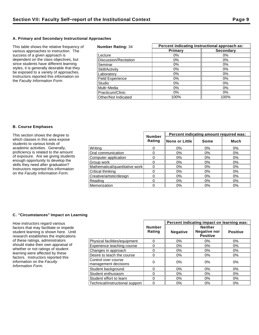## **A. Primary and Secondary Instructional Approaches**

This table shows the relative frequency of various approaches to instruction. The success of a given approach is dependent on the class objectives, but since students have different learning styles, it is generally desirable that they be exposed to a variety of approaches. Instructors reported this information on the Faculty Information Form.

| <b>Number Rating: 34</b> |         | Percent indicating instructional approach as: |  |  |  |  |
|--------------------------|---------|-----------------------------------------------|--|--|--|--|
|                          | Primary | <b>Secondary</b>                              |  |  |  |  |
| Lecture                  | $0\%$   | $0\%$                                         |  |  |  |  |
| Discussion/Recitation    | $0\%$   | $0\%$                                         |  |  |  |  |
| Seminar                  | 0%      | 0%                                            |  |  |  |  |
| Skill/Activity           | 0%      | $0\%$                                         |  |  |  |  |
| Laboratory               | $0\%$   | 0%                                            |  |  |  |  |
| <b>Field Experience</b>  | 0%      | $0\%$                                         |  |  |  |  |
| Studio                   | $0\%$   | $0\%$                                         |  |  |  |  |
| Multi-Media              | $0\%$   | $0\%$                                         |  |  |  |  |
| Practicum/Clinic         | $0\%$   | $0\%$                                         |  |  |  |  |
| Other/Not Indicated      | 100%    | 100%                                          |  |  |  |  |

### **B. Course Emphases**

| This section shows the degree to                                                                                                                                                                                                                                       |                                |                         | Percent indicating amount required was: |       |       |  |
|------------------------------------------------------------------------------------------------------------------------------------------------------------------------------------------------------------------------------------------------------------------------|--------------------------------|-------------------------|-----------------------------------------|-------|-------|--|
| which classes in this area expose<br>students to various kinds of                                                                                                                                                                                                      |                                | <b>Number</b><br>Rating | None or Little                          | Some  | Much  |  |
| academic activities. Generally,<br>proficiency is related to the amount<br>of exposure. Are we giving students<br>enough opportunity to develop the<br>skills they need after graduation?<br>Instructors reported this information<br>on the Faculty Information Form. | Writina                        |                         | 0%                                      | 0%    | $0\%$ |  |
|                                                                                                                                                                                                                                                                        | Oral communication             |                         | 0%                                      | 0%    | 0%    |  |
|                                                                                                                                                                                                                                                                        | Computer application           |                         | 0%                                      | 0%    | $0\%$ |  |
|                                                                                                                                                                                                                                                                        | Group work                     |                         | 0%                                      | $0\%$ | $0\%$ |  |
|                                                                                                                                                                                                                                                                        | Mathematical/quantitative work |                         | 0%                                      | 0%    | 0%    |  |
|                                                                                                                                                                                                                                                                        | Critical thinking              |                         | $0\%$                                   | 0%    | 0%    |  |
|                                                                                                                                                                                                                                                                        | Creative/artistic/design       |                         | 0%                                      | 0%    | 0%    |  |
|                                                                                                                                                                                                                                                                        | Reading                        |                         | $0\%$                                   | $0\%$ | $0\%$ |  |
|                                                                                                                                                                                                                                                                        | Memorization                   |                         | $0\%$                                   | $0\%$ | $0\%$ |  |

## **C. "Circumstances" Impact on Learning**

How instructors regard various factors that may facilitate or impede student learning is shown here. Until research establishes the implications of these ratings, administrators should make their own appraisal of whether or not ratings of student learning were affected by these factors. Instructors reported this information on the Faculty Information Form.

|                                             |                         | Percent indicating impact on learning was: |                                                          |                 |  |
|---------------------------------------------|-------------------------|--------------------------------------------|----------------------------------------------------------|-----------------|--|
|                                             | <b>Number</b><br>Rating | <b>Negative</b>                            | <b>Neither</b><br><b>Negative nor</b><br><b>Positive</b> | <b>Positive</b> |  |
| Physical facilities/equipment               | 0                       | 0%                                         | $0\%$                                                    | 0%              |  |
| Experience teaching course                  | 0                       | 0%                                         | 0%                                                       | 0%              |  |
| Changes in approach                         | 0                       | $0\%$                                      | 0%                                                       | 0%              |  |
| Desire to teach the course                  | 0                       | $0\%$                                      | $0\%$                                                    | $0\%$           |  |
| Control over course<br>management decisions | 0                       | 0%                                         | 0%                                                       | 0%              |  |
| Student background                          | 0                       | 0%                                         | 0%                                                       | $0\%$           |  |
| Student enthusiasm                          | 0                       | $0\%$                                      | $0\%$                                                    | 0%              |  |
| Student effort to learn                     | 0                       | 0%                                         | 0%                                                       | 0%              |  |
| Technical/instructional support             | 0                       | 0%                                         | $0\%$                                                    | 0%              |  |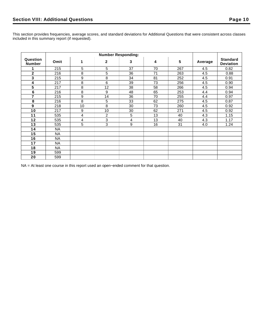This section provides frequencies, average scores, and standard deviations for Additional Questions that were consistent across classes included in this summary report (if requested).

|                           | <b>Number Responding:</b> |            |                |    |    |     |         |                                     |
|---------------------------|---------------------------|------------|----------------|----|----|-----|---------|-------------------------------------|
| Question<br><b>Number</b> | Omit                      | 1          | $\mathbf{2}$   | 3  | 4  | 5   | Average | <b>Standard</b><br><b>Deviation</b> |
|                           | 215                       | $\sqrt{5}$ | 5              | 37 | 70 | 267 | 4.5     | 0.82                                |
| $\mathbf{2}$              | 216                       | 8          | 5              | 36 | 71 | 263 | 4.5     | 0.88                                |
| 3                         | 215                       | 9          | 8              | 34 | 81 | 252 | 4.5     | 0.91                                |
| 4                         | 217                       | 8          | 6              | 39 | 73 | 256 | 4.5     | 0.90                                |
| 5                         | 217                       | 8          | 12             | 38 | 58 | 266 | 4.5     | 0.94                                |
| $\bf 6$                   | 216                       | 8          | 9              | 48 | 65 | 253 | 4.4     | 0.94                                |
| $\overline{7}$            | 215                       | 9          | 14             | 36 | 70 | 255 | 4.4     | 0.97                                |
| 8                         | 216                       | 8          | 5              | 33 | 62 | 275 | 4.5     | 0.87                                |
| 9                         | 218                       | 10         | 8              | 30 | 73 | 260 | 4.5     | 0.92                                |
| 10                        | 217                       | 9          | 10             | 30 | 62 | 271 | 4.5     | 0.92                                |
| 11                        | 535                       | 4          | $\overline{2}$ | 5  | 13 | 40  | 4.3     | 1.15                                |
| 12                        | 535                       | 4          | 3              | 4  | 13 | 40  | 4.3     | 1.17                                |
| 13                        | 535                       | 5          | 3              | 9  | 16 | 31  | 4.0     | 1.24                                |
| 14                        | <b>NA</b>                 |            |                |    |    |     |         |                                     |
| 15                        | <b>NA</b>                 |            |                |    |    |     |         |                                     |
| 16                        | NA                        |            |                |    |    |     |         |                                     |
| 17                        | <b>NA</b>                 |            |                |    |    |     |         |                                     |
| 18                        | <b>NA</b>                 |            |                |    |    |     |         |                                     |
| 19                        | 599                       |            |                |    |    |     |         |                                     |
| 20                        | 599                       |            |                |    |    |     |         |                                     |

NA = At least one course in this report used an open−ended comment for that question.